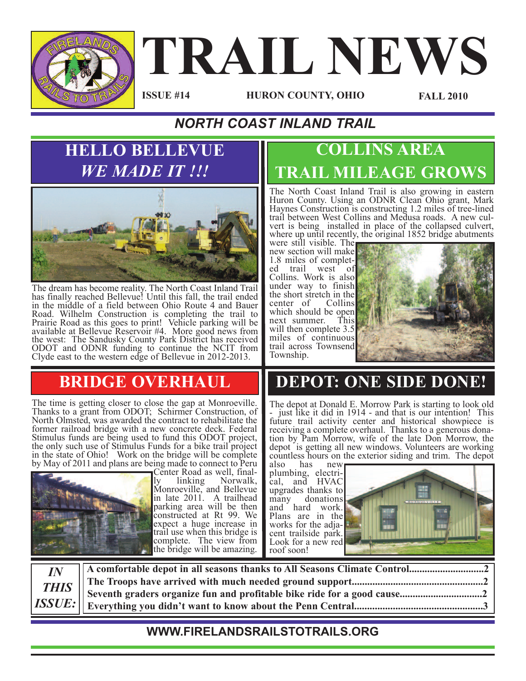

# **TRAIL NEWS**

**ISSUE #14**

**HURON COUNTY, OHIO FALL 2010**

#### *NORTH COAST INLAND TRAIL*

#### **HELLO BELLEVUE** *WE MADE IT !!!*



The dream has become reality. The North Coast Inland Trail has finally reached Bellevue! Until this fall, the trail ended in the middle of a field between Ohio Route 4 and Bauer Road. Wilhelm Construction is completing the trail to Prairie Road as this goes to print! Vehicle parking will be available at Bellevue Reservoir #4. More good news from the west: The Sandusky County Park District has received ODOT and ODNR funding to continue the NCIT from Clyde east to the western edge of Bellevue in 2012-2013.

#### **BRIDGE OVERHAUL**

The time is getting closer to close the gap at Monroeville. Thanks to <sup>a</sup> grant from ODOT; Schirmer Construction, of North Olmsted, was awarded the contract to rehabilitate the former railroad bridge with a new concrete deck. Federal Stimulus funds are being used to fund this ODOT project, the only such use of Stimulus Funds for <sup>a</sup> bike trail project in the state of Ohio! Work on the bridge will be complete by May of 2011 and plans are being made to connect to Peru



ly linking Norwalk,<br>Monroeville, and Bellevue in late 2011. A trailhead parking area will be then constructed at Rt 99. We expect a huge increase in trail use when this bridge is complete. The view from the bridge will be amazing.

#### **COLLINS AREA TRAIL MILEAGE GROWS**

The North Coast Inland Trail is also growing in eastern Huron County. Using an ODNR Clean Ohio grant, Mark Haynes Construction is constructing 1.2 miles of tree-lined trail between West Collins and Medula roads. A new current vert is being installed in place of the collapsed culvert, where up until recently, the original 1852 bridge abutments

were still visible. The new section will make 1.8 miles of complet-<br>ed trail west of Collins. Work is also under way to finish the short stretch in the center of Collins which should be open next summer. This will then complete 3.5 miles of continuous trail across Townsend Township.



# **DEPOT: ONE SIDE DONE!**

The depot at Donald E. Morrow Park is starting to look old - just like it did in <sup>1914</sup> - and that is our intention! This future trail activity center and historical showpiece is receiving a complete overhaul. Thanks to a generous dona-<br>tion by Pam Morrow, wife of the late Don Morrow, the depot is getting all new windows. Volunteers are working countless hours on the exterior siding and trim. The depot also has new

also has new plumbing, electri-<br>cal, and HVAC upgrades thanks to many donations and hard work. Plans are in the cent trailside park.<br>Look for a new red roof soon!



| $I\!N$ |  |
|--------|--|
|        |  |
|        |  |
|        |  |

#### **WWW.FIRELANDSRAILSTOTRAILS.ORG**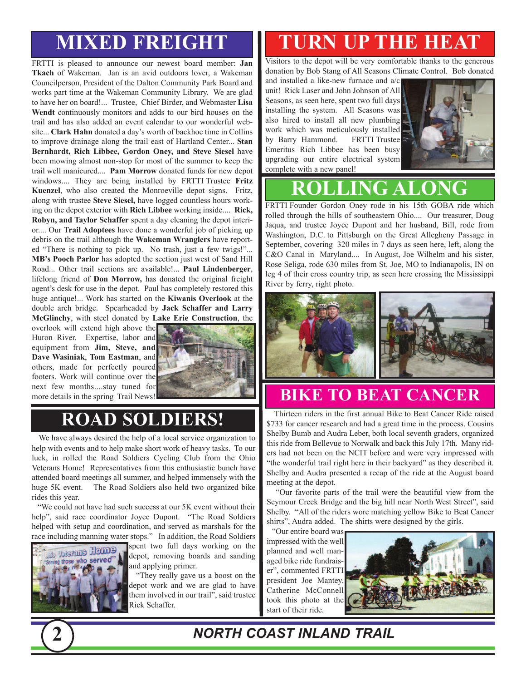# **MIXED FREIGHT**

FRTTI is pleased to announce our newest board member: **Jan Tkach** of Wakeman. Jan is an avid outdoors lover, a Wakeman Councilperson, President of the Dalton Community Park Board and works part time at the Wakeman Community Library. We are glad to have her on board!... Trustee, Chief Birder, and Webmaster **Lisa Wendt** continuously monitors and adds to our bird houses on the trail and has also added an event calendar to our wonderful website... **Clark Hahn** donated a day's worth of backhoe time in Collins to improve drainage along the trail east of Hartland Center... **Stan Bernhardt, Rich Libbee, Gordon Oney, and Steve Siesel** have been mowing almost non-stop for most of the summer to keep the trail well manicured.... **Pam Morrow** donated funds for new depot windows.... They are being installed by FRTTI Trustee **Fritz Kuenzel**, who also created the Monroeville depot signs. Fritz, along with trustee **Steve Siesel,** have logged countless hours working on the depot exterior with **Rich Libbee** working inside.... **Rick, Robyn, and Taylor Schaffer** spent a day cleaning the depot interior.... Our **Trail Adoptees** have done a wonderful job of picking up debris on the trail although the **Wakeman Wranglers** have reported "There is nothing to pick up. No trash, just a few twigs!"... **MB's Pooch Parlor** has adopted the section just west of Sand Hill Road... Other trail sections are available!... **Paul Lindenberger**, lifelong friend of **Don Morrow,** has donated the original freight agent's desk for use in the depot. Paul has completely restored this huge antique!... Work has started on the **Kiwanis Overlook** at the double arch bridge. Spearheaded by **Jack Schaffer and Larry McGlinchy**, with steel donated by **Lake Erie Construction**, the

overlook will extend high above the Huron River. Expertise, labor and equipment from **Jim, Steve, and Dave Wasiniak**, **Tom Eastman**, and others, made for perfectly poured footers. Work will continue over the next few months....stay tuned for more details in the spring Trail News!



# **ROAD SOLDIERS!**

We have always desired the help of a local service organization to help with events and to help make short work of heavy tasks. To our luck, in rolled the Road Soldiers Cycling Club from the Ohio Veterans Home! Representatives from this enthusiastic bunch have attended board meetings all summer, and helped immensely with the huge 5K event. The Road Soldiers also held two organized bike rides this year.

"We could not have had such success at our 5K event without their help", said race coordinator Joyce Dupont. "The Road Soldiers helped with setup and coordination, and served as marshals for the race including manning water stops." In addition, the Road Soldiers



spent two full days working on the depot, removing boards and sanding and applying primer.

"They really gave us a boost on the depot work and we are glad to have them involved in our trail", said trustee Rick Schaffer.

# **TURN UP THE HEAT**

Visitors to the depot will be very comfortable thanks to the generous donation by Bob Stang of All Seasons Climate Control. Bob donated

and installed a like-new furnace and a/c unit! Rick Laser and John Johnson of All Seasons, as seen here, spent two full days installing the system. All Seasons was also hired to install all new plumbing work which was meticulously installed by Barry Hammond. FRTTI Trustee Emeritus Rich Libbee has been busy upgrading our entire electrical system complete with a new panel!



# **ROLLING ALONG**

FRTTI Founder Gordon Oney rode in his 15th GOBA ride which rolled through the hills of southeastern Ohio.... Our treasurer, Doug Jaqua, and trustee Joyce Dupont and her husband, Bill, rode from Washington, D.C. to Pittsburgh on the Great Allegheny Passage in September, covering 320 miles in 7 days as seen here, left, along the C&O Canal in Maryland.... In August, Joe Wilhelm and his sister, Rose Seliga, rode 630 miles from St. Joe, MO to Indianapolis, IN on leg 4 of their cross country trip, as seen here crossing the Mississippi River by ferry, right photo.



# **BIKE TO BEAT CANCER**

Thirteen riders in the first annual Bike to Beat Cancer Ride raised \$733 for cancer research and had a great time in the process. Cousins Shelby Bumb and Audra Leber, both local seventh graders, organized this ride from Bellevue to Norwalk and back this July 17th. Many riders had not been on the NCIT before and were very impressed with "the wonderful trail right here in their backyard" as they described it. Shelby and Audra presented a recap of the ride at the August board meeting at the depot.

"Our favorite parts of the trail were the beautiful view from the Seymour Creek Bridge and the big hill near North West Street", said Shelby. "All of the riders wore matching yellow Bike to Beat Cancer shirts", Audra added. The shirts were designed by the girls.

"Our entire board was impressed with the well planned and well managed bike ride fundraiser", commented FRTTI president Joe Mantey. Catherine McConnell took this photo at the start of their ride.



**2** *NORTH COAST INLAND TRAIL*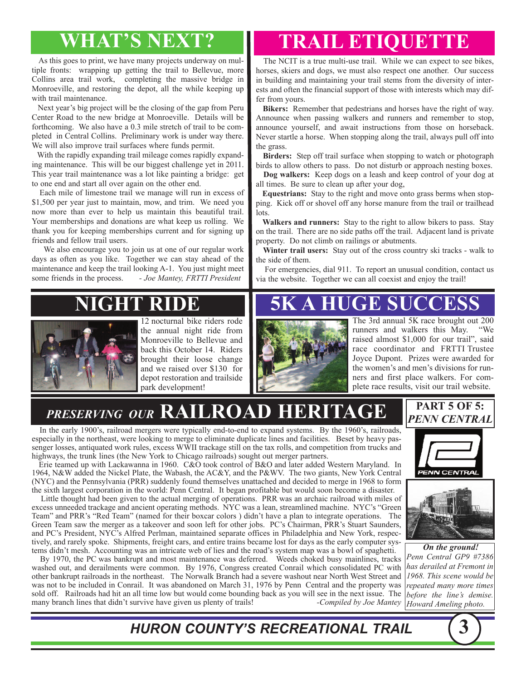As this goes to print, we have many projects underway on multiple fronts: wrapping up getting the trail to Bellevue, more Collins area trail work, completing the massive bridge in Monroeville, and restoring the depot, all the while keeping up with trail maintenance.

Next year's big project will be the closing of the gap from Peru Center Road to the new bridge at Monroeville. Details will be forthcoming. We also have a 0.3 mile stretch of trail to be completed in Central Collins. Preliminary work is under way there. We will also improve trail surfaces where funds permit.

With the rapidly expanding trail mileage comes rapidly expanding maintenance. This will be our biggest challenge yet in 2011. This year trail maintenance was a lot like painting a bridge: get to one end and start all over again on the other end.

Each mile of limestone trail we manage will run in excess of \$1,500 per year just to maintain, mow, and trim. We need you now more than ever to help us maintain this beautiful trail. Your memberships and donations are what keep us rolling. We thank you for keeping memberships current and for signing up friends and fellow trail users.

We also encourage you to join us at one of our regular work days as often as you like. Together we can stay ahead of the maintenance and keep the trail looking A-1. You just might meet some friends in the process. *- Joe Mantey, FRTTI President*

# **WHAT'S NEXT? TRAIL ETIQUETTE**

The NCIT is a true multi-use trail. While we can expect to see bikes, horses, skiers and dogs, we must also respect one another. Our success in building and maintaining your trail stems from the diversity of interests and often the financial support of those with interests which may differ from yours.

**Bikers:** Remember that pedestrians and horses have the right of way. Announce when passing walkers and runners and remember to stop, announce yourself, and await instructions from those on horseback. Never startle a horse. When stopping along the trail, always pull off into the grass.

**Birders:** Step off trail surface when stopping to watch or photograph birds to allow others to pass. Do not disturb or approach nesting boxes.

**Dog walkers:** Keep dogs on a leash and keep control of your dog at all times. Be sure to clean up after your dog,

**Equestrians:** Stay to the right and move onto grass berms when stopping. Kick off or shovel off any horse manure from the trail or trailhead lots.

**Walkers and runners:** Stay to the right to allow bikers to pass. Stay on the trail. There are no side paths off the trail. Adjacent land is private property. Do not climb on railings or abutments.

**Winter trail users:** Stay out of the cross country ski tracks - walk to the side of them.

For emergencies, dial 911. To report an unusual condition, contact us via the website. Together we can all coexist and enjoy the trail!

# **NIGHT RIDE**



12 nocturnal bike riders rode the annual night ride from Monroeville to Bellevue and back this October 14. Riders brought their loose change and we raised over \$130 for depot restoration and trailside park development!



The 3rd annual 5K race brought out 200 runners and walkers this May. "We raised almost \$1,000 for our trail", said race coordinator and FRTTI Trustee Joyce Dupont. Prizes were awarded for the women's and men's divisions for runners and first place walkers. For complete race results, visit our trail website.

#### *PRESERVING OUR* **RAILROAD HERITAGE**

In the early 1900's, railroad mergers were typically end-to-end to expand systems. By the 1960's, railroads, especially in the northeast, were looking to merge to eliminate duplicate lines and facilities. Beset by heavy passenger losses, antiquated work rules, excess WWII trackage still on the tax rolls, and competition from trucks and highways, the trunk lines (the New York to Chicago railroads) sought out merger partners.

Erie teamed up with Lackawanna in 1960. C&O took control of B&O and later added Western Maryland. In 1964, N&W added the Nickel Plate, the Wabash, the AC&Y, and the P&WV. The two giants, New York Central (NYC) and the Pennsylvania (PRR) suddenly found themselves unattached and decided to merge in 1968 to form the sixth largest corporation in the world: Penn Central. It began profitable but would soon become a disaster.

Little thought had been given to the actual merging of operations. PRR was an archaic railroad with miles of excess unneeded trackage and ancient operating methods. NYC was a lean, streamlined machine. NYC's "Green Team" and PRR's "Red Team" (named for their boxcar colors ) didn't have a plan to integrate operations. The Green Team saw the merger as a takeover and soon left for other jobs. PC's Chairman, PRR's Stuart Saunders, and PC's President, NYC's Alfred Perlman, maintained separate offices in Philadelphia and New York, respectively, and rarely spoke. Shipments, freight cars, and entire trains became lost for days as the early computer systems didn't mesh. Accounting was an intricate web of lies and the road's system map was a bowl of spaghetti.

By 1970, the PC was bankrupt and most maintenance was deferred. Weeds choked busy mainlines, tracks washed out, and derailments were common. By 1976, Congress created Conrail which consolidated PC with other bankrupt railroads in the northeast. The Norwalk Branch had a severe washout near North West Street and was not to be included in Conrail. It was abandoned on March 31, 1976 by Penn Central and the property was sold off. Railroads had hit an all time low but would come bounding back as you will see in the next issue. The many branch lines that didn't survive have given us plenty of trails! Compiled by Joe Mantey many branch lines that didn't survive have given us plenty of trails!



**PART 5 OF 5:**

**PENN CENTRAL** 



*On the ground! Penn Central GP9 #7386 has derailed at Fremont in 1968. This scene would be repeated many more times before the line's demise. Howard Ameling photo.*

*HURON COUNTY'S RECREATIONAL TRAIL* **3**